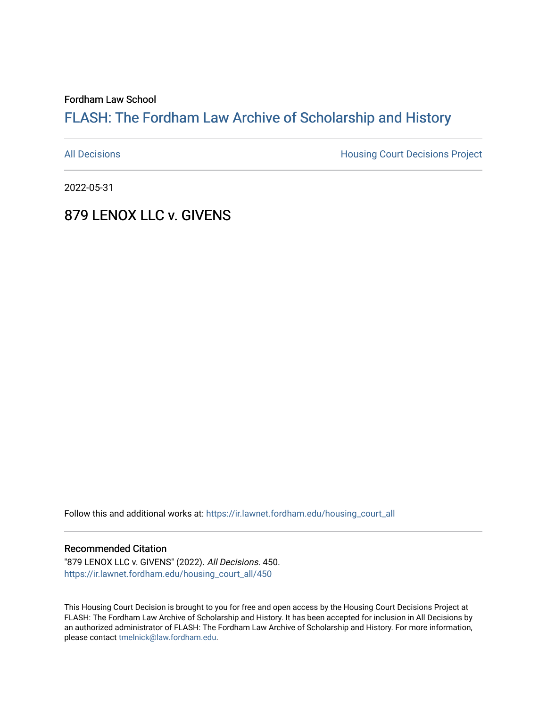Fordham Law School

## FLASH: The For[dham Law Archive of Scholarship and Hist](https://ir.lawnet.fordham.edu/)ory

[All Decisions](https://ir.lawnet.fordham.edu/housing_court_all) **All Decisions All Decisions** Project

2022-05-31

## 879 LENOX LLC v. GIVENS

Follow this and additional works at: [https://ir.lawnet.fordham.edu/housing\\_court\\_all](https://ir.lawnet.fordham.edu/housing_court_all?utm_source=ir.lawnet.fordham.edu%2Fhousing_court_all%2F450&utm_medium=PDF&utm_campaign=PDFCoverPages)

#### Recommended Citation

"879 LENOX LLC v. GIVENS" (2022). All Decisions. 450. [https://ir.lawnet.fordham.edu/housing\\_court\\_all/450](https://ir.lawnet.fordham.edu/housing_court_all/450?utm_source=ir.lawnet.fordham.edu%2Fhousing_court_all%2F450&utm_medium=PDF&utm_campaign=PDFCoverPages)

This Housing Court Decision is brought to you for free and open access by the Housing Court Decisions Project at FLASH: The Fordham Law Archive of Scholarship and History. It has been accepted for inclusion in All Decisions by an authorized administrator of FLASH: The Fordham Law Archive of Scholarship and History. For more information, please contact [tmelnick@law.fordham.edu](mailto:tmelnick@law.fordham.edu).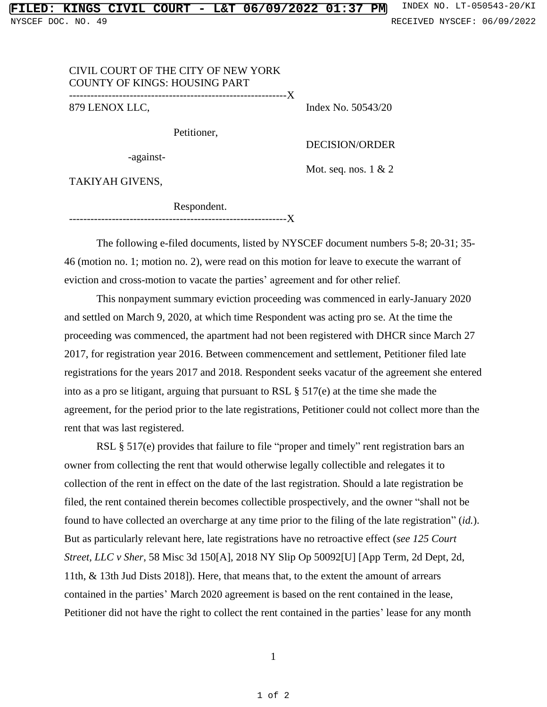# NYSCEF DOC. NO. 49 **RECEIVED NYSCEF: 06/09/2022**

### CIVIL COURT OF THE CITY OF NEW YORK COUNTY OF KINGS: HOUSING PART

-------------------------------------------------------------X 879 LENOX LLC,

Index No. 50543/20

Petitioner,

DECISION/ORDER

-against-

Mot. seq. nos. 1 & 2

TAKIYAH GIVENS,

 Respondent. -------------------------------------------------------------X

The following e-filed documents, listed by NYSCEF document numbers 5-8; 20-31; 35- 46 (motion no. 1; motion no. 2), were read on this motion for leave to execute the warrant of eviction and cross-motion to vacate the parties' agreement and for other relief.

This nonpayment summary eviction proceeding was commenced in early-January 2020 and settled on March 9, 2020, at which time Respondent was acting pro se. At the time the proceeding was commenced, the apartment had not been registered with DHCR since March 27 2017, for registration year 2016. Between commencement and settlement, Petitioner filed late registrations for the years 2017 and 2018. Respondent seeks vacatur of the agreement she entered into as a pro se litigant, arguing that pursuant to RSL § 517(e) at the time she made the agreement, for the period prior to the late registrations, Petitioner could not collect more than the rent that was last registered.

RSL § 517(e) provides that failure to file "proper and timely" rent registration bars an owner from collecting the rent that would otherwise legally collectible and relegates it to collection of the rent in effect on the date of the last registration. Should a late registration be filed, the rent contained therein becomes collectible prospectively, and the owner "shall not be found to have collected an overcharge at any time prior to the filing of the late registration" (*id.*). But as particularly relevant here, late registrations have no retroactive effect (*see 125 Court Street, LLC v Sher*, 58 Misc 3d 150[A], 2018 NY Slip Op 50092[U] [App Term, 2d Dept, 2d, 11th, & 13th Jud Dists 2018]). Here, that means that, to the extent the amount of arrears contained in the parties' March 2020 agreement is based on the rent contained in the lease, Petitioner did not have the right to collect the rent contained in the parties' lease for any month

1